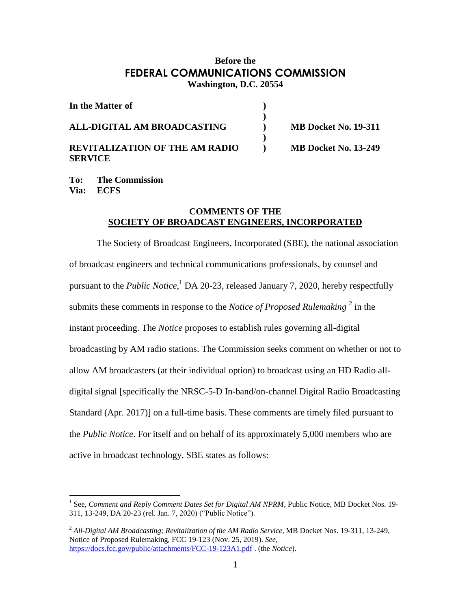## **Before the FEDERAL COMMUNICATIONS COMMISSION Washington, D.C. 20554**

| In the Matter of                                        |                             |  |
|---------------------------------------------------------|-----------------------------|--|
| ALL-DIGITAL AM BROADCASTING                             | <b>MB Docket No. 19-311</b> |  |
| <b>REVITALIZATION OF THE AM RADIO</b><br><b>SERVICE</b> | <b>MB Docket No. 13-249</b> |  |

**To: The Commission Via: ECFS**

 $\overline{a}$ 

## **COMMENTS OF THE SOCIETY OF BROADCAST ENGINEERS, INCORPORATED**

The Society of Broadcast Engineers, Incorporated (SBE), the national association of broadcast engineers and technical communications professionals, by counsel and pursuant to the *Public Notice*, <sup>1</sup> DA 20-23, released January 7, 2020, hereby respectfully submits these comments in response to the *Notice of Proposed Rulemaking*<sup>2</sup> in the instant proceeding. The *Notice* proposes to establish rules governing all-digital broadcasting by AM radio stations. The Commission seeks comment on whether or not to allow AM broadcasters (at their individual option) to broadcast using an HD Radio alldigital signal [specifically the NRSC-5-D In-band/on-channel Digital Radio Broadcasting Standard (Apr. 2017)] on a full-time basis. These comments are timely filed pursuant to the *Public Notice*. For itself and on behalf of its approximately 5,000 members who are active in broadcast technology, SBE states as follows:

<sup>&</sup>lt;sup>1</sup> See, *Comment and Reply Comment Dates Set for Digital AM NPRM*, Public Notice, MB Docket Nos. 19-311, 13-249, DA 20-23 (rel. Jan. 7, 2020) ("Public Notice").

<sup>2</sup> *All-Digital AM Broadcasting; Revitalization of the AM Radio Service*, MB Docket Nos. 19-311, 13-249, Notice of Proposed Rulemaking, FCC 19-123 (Nov. 25, 2019). *See,*  <https://docs.fcc.gov/public/attachments/FCC-19-123A1.pdf> . (the *Notice*).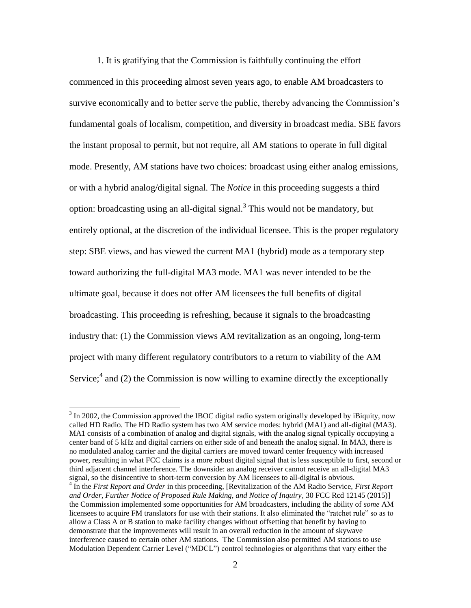1. It is gratifying that the Commission is faithfully continuing the effort commenced in this proceeding almost seven years ago, to enable AM broadcasters to survive economically and to better serve the public, thereby advancing the Commission's fundamental goals of localism, competition, and diversity in broadcast media. SBE favors the instant proposal to permit, but not require, all AM stations to operate in full digital mode. Presently, AM stations have two choices: broadcast using either analog emissions, or with a hybrid analog/digital signal. The *Notice* in this proceeding suggests a third option: broadcasting using an all-digital signal.<sup>3</sup> This would not be mandatory, but entirely optional, at the discretion of the individual licensee. This is the proper regulatory step: SBE views, and has viewed the current MA1 (hybrid) mode as a temporary step toward authorizing the full-digital MA3 mode. MA1 was never intended to be the ultimate goal, because it does not offer AM licensees the full benefits of digital broadcasting. This proceeding is refreshing, because it signals to the broadcasting industry that: (1) the Commission views AM revitalization as an ongoing, long-term project with many different regulatory contributors to a return to viability of the AM Service;<sup>4</sup> and (2) the Commission is now willing to examine directly the exceptionally

 $3 \text{ In } 2002$ , the Commission approved the IBOC digital radio system originally developed by iBiquity, now called HD Radio. The HD Radio system has two AM service modes: hybrid (MA1) and all-digital (MA3). MA1 consists of a combination of analog and digital signals, with the analog signal typically occupying a center band of 5 kHz and digital carriers on either side of and beneath the analog signal. In MA3, there is no modulated analog carrier and the digital carriers are moved toward center frequency with increased power, resulting in what FCC claims is a more robust digital signal that is less susceptible to first, second or third adjacent channel interference. The downside: an analog receiver cannot receive an all-digital MA3 signal, so the disincentive to short-term conversion by AM licensees to all-digital is obvious.

<sup>4</sup> In the *First Report and Order* in this proceeding, [Revitalization of the AM Radio Service, *First Report and Order, Further Notice of Proposed Rule Making, and Notice of Inquiry*, 30 FCC Rcd 12145 (2015)] the Commission implemented some opportunities for AM broadcasters, including the ability of *some* AM licensees to acquire FM translators for use with their stations. It also eliminated the "ratchet rule" so as to allow a Class A or B station to make facility changes without offsetting that benefit by having to demonstrate that the improvements will result in an overall reduction in the amount of skywave interference caused to certain other AM stations. The Commission also permitted AM stations to use Modulation Dependent Carrier Level ("MDCL") control technologies or algorithms that vary either the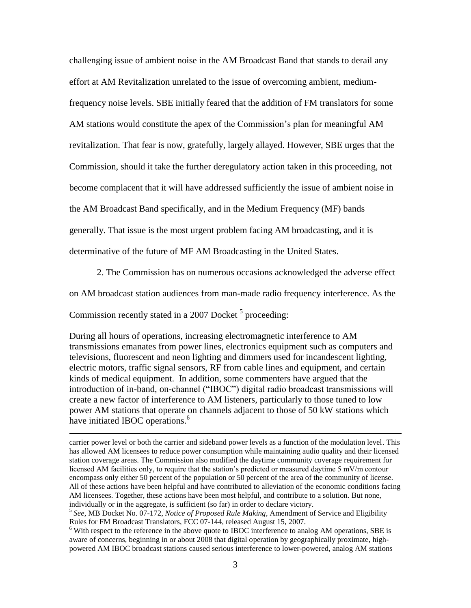challenging issue of ambient noise in the AM Broadcast Band that stands to derail any effort at AM Revitalization unrelated to the issue of overcoming ambient, mediumfrequency noise levels. SBE initially feared that the addition of FM translators for some AM stations would constitute the apex of the Commission's plan for meaningful AM revitalization. That fear is now, gratefully, largely allayed. However, SBE urges that the Commission, should it take the further deregulatory action taken in this proceeding, not become complacent that it will have addressed sufficiently the issue of ambient noise in the AM Broadcast Band specifically, and in the Medium Frequency (MF) bands generally. That issue is the most urgent problem facing AM broadcasting, and it is determinative of the future of MF AM Broadcasting in the United States.

2. The Commission has on numerous occasions acknowledged the adverse effect

on AM broadcast station audiences from man-made radio frequency interference. As the

Commission recently stated in a 2007 Docket <sup>5</sup> proceeding:

 $\overline{a}$ 

During all hours of operations, increasing electromagnetic interference to AM transmissions emanates from power lines, electronics equipment such as computers and televisions, fluorescent and neon lighting and dimmers used for incandescent lighting, electric motors, traffic signal sensors, RF from cable lines and equipment, and certain kinds of medical equipment. In addition, some commenters have argued that the introduction of in-band, on-channel ("IBOC") digital radio broadcast transmissions will create a new factor of interference to AM listeners, particularly to those tuned to low power AM stations that operate on channels adjacent to those of 50 kW stations which have initiated IBOC operations.<sup>6</sup>

carrier power level or both the carrier and sideband power levels as a function of the modulation level. This has allowed AM licensees to reduce power consumption while maintaining audio quality and their licensed station coverage areas. The Commission also modified the daytime community coverage requirement for licensed AM facilities only, to require that the station's predicted or measured daytime 5 mV/m contour encompass only either 50 percent of the population or 50 percent of the area of the community of license. All of these actions have been helpful and have contributed to alleviation of the economic conditions facing AM licensees. Together, these actions have been most helpful, and contribute to a solution. But none, individually or in the aggregate, is sufficient (so far) in order to declare victory.

<sup>5</sup> *See*, MB Docket No. 07-172, *Notice of Proposed Rule Making*, Amendment of Service and Eligibility Rules for FM Broadcast Translators, FCC 07-144, released August 15, 2007.

<sup>&</sup>lt;sup>6</sup> With respect to the reference in the above quote to IBOC interference to analog AM operations, SBE is aware of concerns, beginning in or about 2008 that digital operation by geographically proximate, highpowered AM IBOC broadcast stations caused serious interference to lower-powered, analog AM stations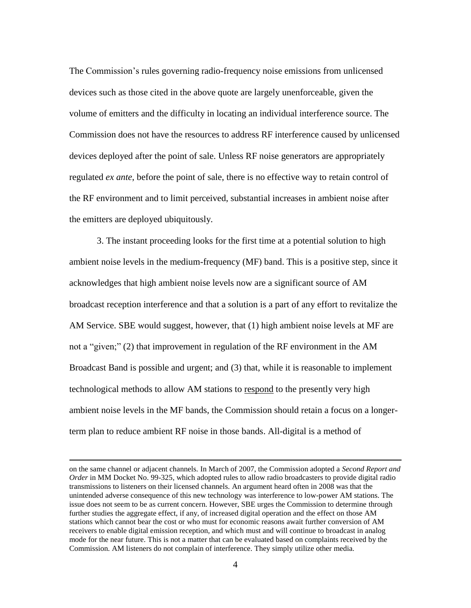The Commission's rules governing radio-frequency noise emissions from unlicensed devices such as those cited in the above quote are largely unenforceable, given the volume of emitters and the difficulty in locating an individual interference source. The Commission does not have the resources to address RF interference caused by unlicensed devices deployed after the point of sale. Unless RF noise generators are appropriately regulated *ex ante*, before the point of sale, there is no effective way to retain control of the RF environment and to limit perceived, substantial increases in ambient noise after the emitters are deployed ubiquitously.

3. The instant proceeding looks for the first time at a potential solution to high ambient noise levels in the medium-frequency (MF) band. This is a positive step, since it acknowledges that high ambient noise levels now are a significant source of AM broadcast reception interference and that a solution is a part of any effort to revitalize the AM Service. SBE would suggest, however, that (1) high ambient noise levels at MF are not a "given;" (2) that improvement in regulation of the RF environment in the AM Broadcast Band is possible and urgent; and (3) that, while it is reasonable to implement technological methods to allow AM stations to respond to the presently very high ambient noise levels in the MF bands, the Commission should retain a focus on a longerterm plan to reduce ambient RF noise in those bands. All-digital is a method of

on the same channel or adjacent channels. In March of 2007, the Commission adopted a *Second Report and Order* in MM Docket No. 99-325, which adopted rules to allow radio broadcasters to provide digital radio transmissions to listeners on their licensed channels. An argument heard often in 2008 was that the unintended adverse consequence of this new technology was interference to low-power AM stations. The issue does not seem to be as current concern. However, SBE urges the Commission to determine through further studies the aggregate effect, if any, of increased digital operation and the effect on those AM stations which cannot bear the cost or who must for economic reasons await further conversion of AM receivers to enable digital emission reception, and which must and will continue to broadcast in analog mode for the near future. This is not a matter that can be evaluated based on complaints received by the Commission. AM listeners do not complain of interference. They simply utilize other media.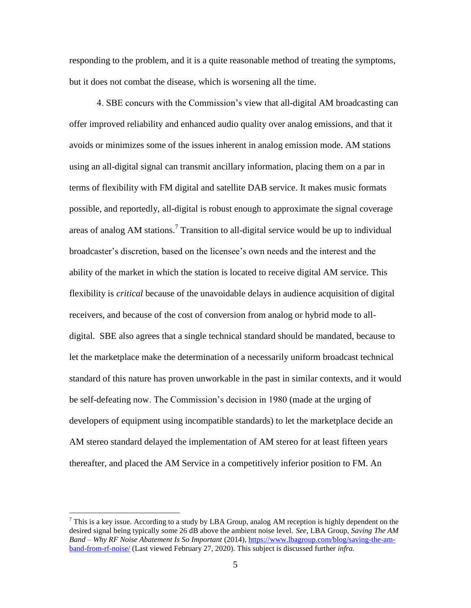responding to the problem, and it is a quite reasonable method of treating the symptoms, but it does not combat the disease, which is worsening all the time.

4. SBE concurs with the Commission's view that all-digital AM broadcasting can offer improved reliability and enhanced audio quality over analog emissions, and that it avoids or minimizes some of the issues inherent in analog emission mode. AM stations using an all-digital signal can transmit ancillary information, placing them on a par in terms of flexibility with FM digital and satellite DAB service. It makes music formats possible, and reportedly, all-digital is robust enough to approximate the signal coverage areas of analog AM stations.<sup>7</sup> Transition to all-digital service would be up to individual broadcaster's discretion, based on the licensee's own needs and the interest and the ability of the market in which the station is located to receive digital AM service. This flexibility is *critical* because of the unavoidable delays in audience acquisition of digital receivers, and because of the cost of conversion from analog or hybrid mode to alldigital. SBE also agrees that a single technical standard should be mandated, because to let the marketplace make the determination of a necessarily uniform broadcast technical standard of this nature has proven unworkable in the past in similar contexts, and it would be self-defeating now. The Commission's decision in 1980 (made at the urging of developers of equipment using incompatible standards) to let the marketplace decide an AM stereo standard delayed the implementation of AM stereo for at least fifteen years thereafter, and placed the AM Service in a competitively inferior position to FM. An

<sup>&</sup>lt;sup>7</sup> This is a key issue. According to a study by LBA Group, analog AM reception is highly dependent on the desired signal being typically some 26 dB above the ambient noise level. *See*, LBA Group, *Saving The AM Band – Why RF Noise Abatement Is So Important* (2014), [https://www.lbagroup.com/blog/saving-the-am](https://www.lbagroup.com/blog/saving-the-am-band-from-rf-noise/)[band-from-rf-noise/](https://www.lbagroup.com/blog/saving-the-am-band-from-rf-noise/) (Last viewed February 27, 2020). This subject is discussed further *infra.*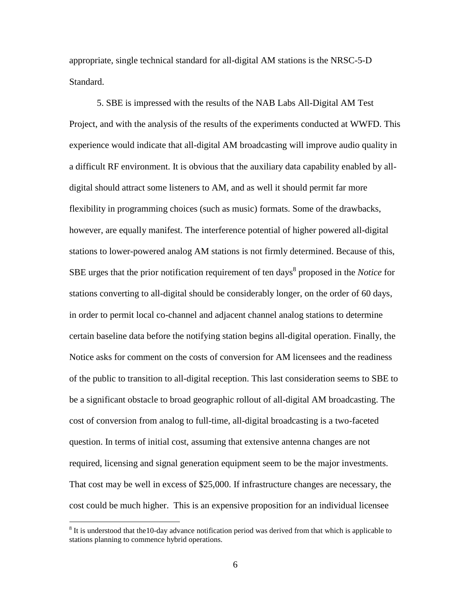appropriate, single technical standard for all-digital AM stations is the NRSC-5-D Standard.

5. SBE is impressed with the results of the NAB Labs All-Digital AM Test Project, and with the analysis of the results of the experiments conducted at WWFD. This experience would indicate that all-digital AM broadcasting will improve audio quality in a difficult RF environment. It is obvious that the auxiliary data capability enabled by alldigital should attract some listeners to AM, and as well it should permit far more flexibility in programming choices (such as music) formats. Some of the drawbacks, however, are equally manifest. The interference potential of higher powered all-digital stations to lower-powered analog AM stations is not firmly determined. Because of this, SBE urges that the prior notification requirement of ten days<sup>8</sup> proposed in the *Notice* for stations converting to all-digital should be considerably longer, on the order of 60 days, in order to permit local co-channel and adjacent channel analog stations to determine certain baseline data before the notifying station begins all-digital operation. Finally, the Notice asks for comment on the costs of conversion for AM licensees and the readiness of the public to transition to all-digital reception. This last consideration seems to SBE to be a significant obstacle to broad geographic rollout of all-digital AM broadcasting. The cost of conversion from analog to full-time, all-digital broadcasting is a two-faceted question. In terms of initial cost, assuming that extensive antenna changes are not required, licensing and signal generation equipment seem to be the major investments. That cost may be well in excess of \$25,000. If infrastructure changes are necessary, the cost could be much higher. This is an expensive proposition for an individual licensee

 $8$  It is understood that the 10-day advance notification period was derived from that which is applicable to stations planning to commence hybrid operations.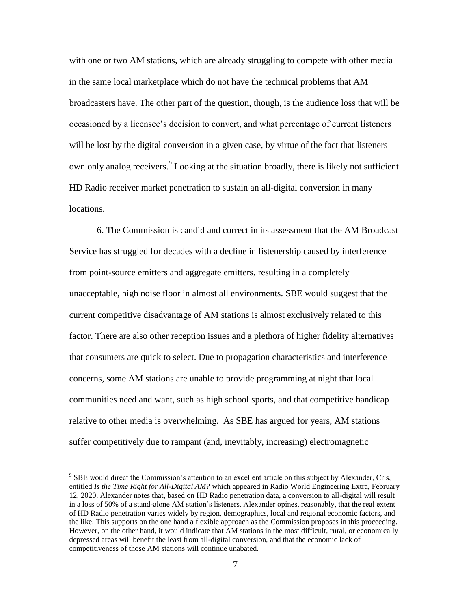with one or two AM stations, which are already struggling to compete with other media in the same local marketplace which do not have the technical problems that AM broadcasters have. The other part of the question, though, is the audience loss that will be occasioned by a licensee's decision to convert, and what percentage of current listeners will be lost by the digital conversion in a given case, by virtue of the fact that listeners own only analog receivers.<sup>9</sup> Looking at the situation broadly, there is likely not sufficient HD Radio receiver market penetration to sustain an all-digital conversion in many locations.

6. The Commission is candid and correct in its assessment that the AM Broadcast Service has struggled for decades with a decline in listenership caused by interference from point-source emitters and aggregate emitters, resulting in a completely unacceptable, high noise floor in almost all environments. SBE would suggest that the current competitive disadvantage of AM stations is almost exclusively related to this factor. There are also other reception issues and a plethora of higher fidelity alternatives that consumers are quick to select. Due to propagation characteristics and interference concerns, some AM stations are unable to provide programming at night that local communities need and want, such as high school sports, and that competitive handicap relative to other media is overwhelming. As SBE has argued for years, AM stations suffer competitively due to rampant (and, inevitably, increasing) electromagnetic

<sup>&</sup>lt;sup>9</sup> SBE would direct the Commission's attention to an excellent article on this subject by Alexander, Cris, entitled *Is the Time Right for All-Digital AM?* which appeared in Radio World Engineering Extra, February 12, 2020. Alexander notes that, based on HD Radio penetration data, a conversion to all-digital will result in a loss of 50% of a stand-alone AM station's listeners. Alexander opines, reasonably, that the real extent of HD Radio penetration varies widely by region, demographics, local and regional economic factors, and the like. This supports on the one hand a flexible approach as the Commission proposes in this proceeding. However, on the other hand, it would indicate that AM stations in the most difficult, rural, or economically depressed areas will benefit the least from all-digital conversion, and that the economic lack of competitiveness of those AM stations will continue unabated.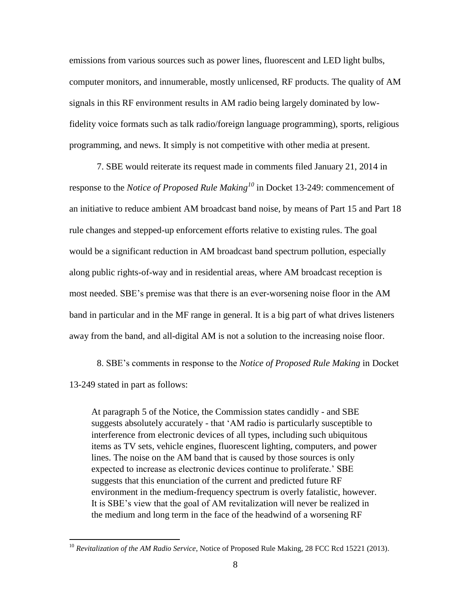emissions from various sources such as power lines, fluorescent and LED light bulbs, computer monitors, and innumerable, mostly unlicensed, RF products. The quality of AM signals in this RF environment results in AM radio being largely dominated by lowfidelity voice formats such as talk radio/foreign language programming), sports, religious programming, and news. It simply is not competitive with other media at present.

7. SBE would reiterate its request made in comments filed January 21, 2014 in response to the *Notice of Proposed Rule Making<sup>10</sup>* in Docket 13-249: commencement of an initiative to reduce ambient AM broadcast band noise, by means of Part 15 and Part 18 rule changes and stepped-up enforcement efforts relative to existing rules. The goal would be a significant reduction in AM broadcast band spectrum pollution, especially along public rights-of-way and in residential areas, where AM broadcast reception is most needed. SBE's premise was that there is an ever-worsening noise floor in the AM band in particular and in the MF range in general. It is a big part of what drives listeners away from the band, and all-digital AM is not a solution to the increasing noise floor.

8. SBE's comments in response to the *Notice of Proposed Rule Making* in Docket 13-249 stated in part as follows:

At paragraph 5 of the Notice, the Commission states candidly - and SBE suggests absolutely accurately - that 'AM radio is particularly susceptible to interference from electronic devices of all types, including such ubiquitous items as TV sets, vehicle engines, fluorescent lighting, computers, and power lines. The noise on the AM band that is caused by those sources is only expected to increase as electronic devices continue to proliferate.' SBE suggests that this enunciation of the current and predicted future RF environment in the medium-frequency spectrum is overly fatalistic, however. It is SBE's view that the goal of AM revitalization will never be realized in the medium and long term in the face of the headwind of a worsening RF

<sup>10</sup> *Revitalization of the AM Radio Service*, Notice of Proposed Rule Making, 28 FCC Rcd 15221 (2013).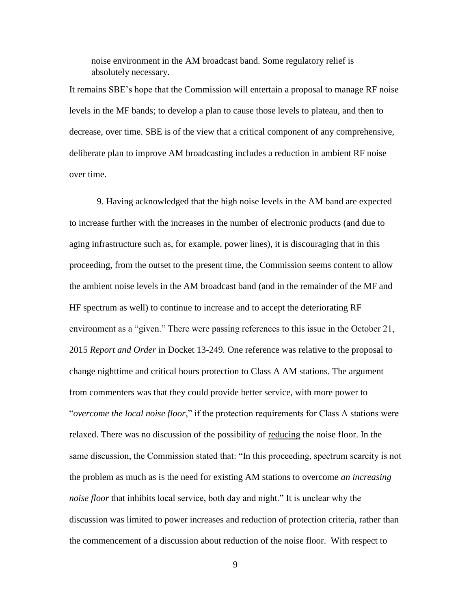noise environment in the AM broadcast band. Some regulatory relief is absolutely necessary.

It remains SBE's hope that the Commission will entertain a proposal to manage RF noise levels in the MF bands; to develop a plan to cause those levels to plateau, and then to decrease, over time. SBE is of the view that a critical component of any comprehensive, deliberate plan to improve AM broadcasting includes a reduction in ambient RF noise over time.

9. Having acknowledged that the high noise levels in the AM band are expected to increase further with the increases in the number of electronic products (and due to aging infrastructure such as, for example, power lines), it is discouraging that in this proceeding, from the outset to the present time, the Commission seems content to allow the ambient noise levels in the AM broadcast band (and in the remainder of the MF and HF spectrum as well) to continue to increase and to accept the deteriorating RF environment as a "given." There were passing references to this issue in the October 21, 2015 *Report and Order* in Docket 13-249*.* One reference was relative to the proposal to change nighttime and critical hours protection to Class A AM stations. The argument from commenters was that they could provide better service, with more power to "*overcome the local noise floor*," if the protection requirements for Class A stations were relaxed. There was no discussion of the possibility of reducing the noise floor. In the same discussion, the Commission stated that: "In this proceeding, spectrum scarcity is not the problem as much as is the need for existing AM stations to overcome *an increasing noise floor* that inhibits local service, both day and night." It is unclear why the discussion was limited to power increases and reduction of protection criteria, rather than the commencement of a discussion about reduction of the noise floor. With respect to

9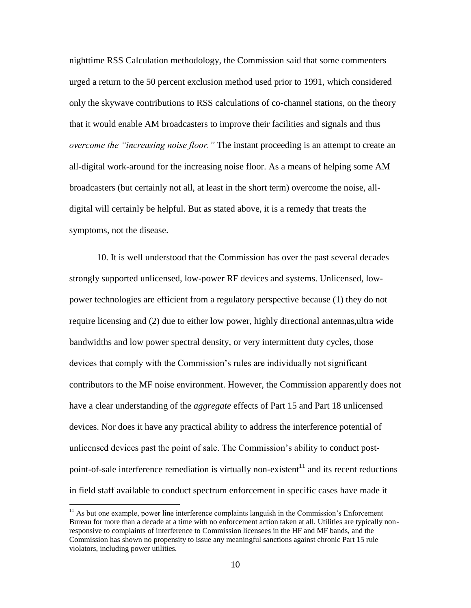nighttime RSS Calculation methodology, the Commission said that some commenters urged a return to the 50 percent exclusion method used prior to 1991, which considered only the skywave contributions to RSS calculations of co-channel stations, on the theory that it would enable AM broadcasters to improve their facilities and signals and thus *overcome the "increasing noise floor."* The instant proceeding is an attempt to create an all-digital work-around for the increasing noise floor. As a means of helping some AM broadcasters (but certainly not all, at least in the short term) overcome the noise, alldigital will certainly be helpful. But as stated above, it is a remedy that treats the symptoms, not the disease.

10. It is well understood that the Commission has over the past several decades strongly supported unlicensed, low-power RF devices and systems. Unlicensed, lowpower technologies are efficient from a regulatory perspective because (1) they do not require licensing and (2) due to either low power, highly directional antennas,ultra wide bandwidths and low power spectral density, or very intermittent duty cycles, those devices that comply with the Commission's rules are individually not significant contributors to the MF noise environment. However, the Commission apparently does not have a clear understanding of the *aggregate* effects of Part 15 and Part 18 unlicensed devices. Nor does it have any practical ability to address the interference potential of unlicensed devices past the point of sale. The Commission's ability to conduct postpoint-of-sale interference remediation is virtually non-existent<sup>11</sup> and its recent reductions in field staff available to conduct spectrum enforcement in specific cases have made it

 $11$  As but one example, power line interference complaints languish in the Commission's Enforcement Bureau for more than a decade at a time with no enforcement action taken at all. Utilities are typically nonresponsive to complaints of interference to Commission licensees in the HF and MF bands, and the Commission has shown no propensity to issue any meaningful sanctions against chronic Part 15 rule violators, including power utilities.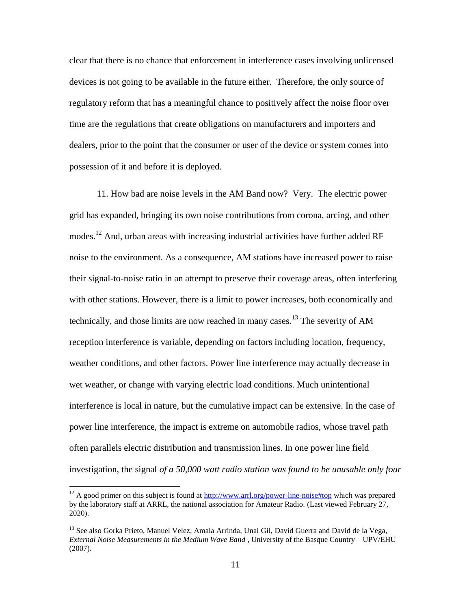clear that there is no chance that enforcement in interference cases involving unlicensed devices is not going to be available in the future either. Therefore, the only source of regulatory reform that has a meaningful chance to positively affect the noise floor over time are the regulations that create obligations on manufacturers and importers and dealers, prior to the point that the consumer or user of the device or system comes into possession of it and before it is deployed.

11. How bad are noise levels in the AM Band now? Very. The electric power grid has expanded, bringing its own noise contributions from corona, arcing, and other modes.<sup>12</sup> And, urban areas with increasing industrial activities have further added RF noise to the environment. As a consequence, AM stations have increased power to raise their signal-to-noise ratio in an attempt to preserve their coverage areas, often interfering with other stations. However, there is a limit to power increases, both economically and technically, and those limits are now reached in many cases.<sup>13</sup> The severity of AM reception interference is variable, depending on factors including location, frequency, weather conditions, and other factors. Power line interference may actually decrease in wet weather, or change with varying electric load conditions. Much unintentional interference is local in nature, but the cumulative impact can be extensive. In the case of power line interference, the impact is extreme on automobile radios, whose travel path often parallels electric distribution and transmission lines. In one power line field investigation, the signal *of a 50,000 watt radio station was found to be unusable only four* 

 $12$  A good primer on this subject is found at  $\frac{http://www.arrl.org/power-line-noise#top}{http://www.arrl.org/power-line-noise#top}$  which was prepared by the laboratory staff at ARRL, the national association for Amateur Radio. (Last viewed February 27, 2020).

<sup>&</sup>lt;sup>13</sup> See also Gorka Prieto, Manuel Velez, Amaia Arrinda, Unai Gil, David Guerra and David de la Vega, *External Noise Measurements in the Medium Wave Band* , University of the Basque Country – UPV/EHU (2007).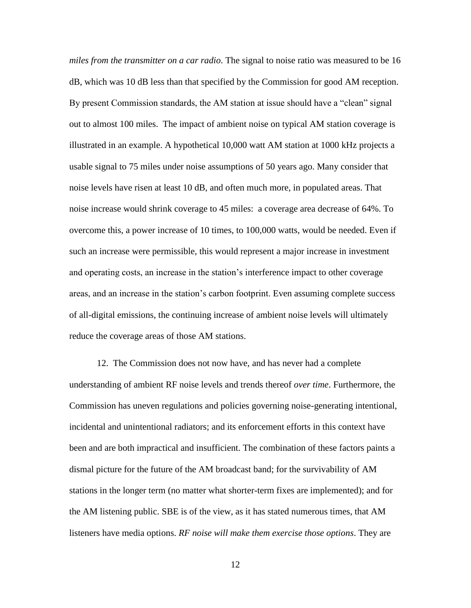*miles from the transmitter on a car radio*. The signal to noise ratio was measured to be 16 dB, which was 10 dB less than that specified by the Commission for good AM reception. By present Commission standards, the AM station at issue should have a "clean" signal out to almost 100 miles. The impact of ambient noise on typical AM station coverage is illustrated in an example. A hypothetical 10,000 watt AM station at 1000 kHz projects a usable signal to 75 miles under noise assumptions of 50 years ago. Many consider that noise levels have risen at least 10 dB, and often much more, in populated areas. That noise increase would shrink coverage to 45 miles: a coverage area decrease of 64%. To overcome this, a power increase of 10 times, to 100,000 watts, would be needed. Even if such an increase were permissible, this would represent a major increase in investment and operating costs, an increase in the station's interference impact to other coverage areas, and an increase in the station's carbon footprint. Even assuming complete success of all-digital emissions, the continuing increase of ambient noise levels will ultimately reduce the coverage areas of those AM stations.

12. The Commission does not now have, and has never had a complete understanding of ambient RF noise levels and trends thereof *over time*. Furthermore, the Commission has uneven regulations and policies governing noise-generating intentional, incidental and unintentional radiators; and its enforcement efforts in this context have been and are both impractical and insufficient. The combination of these factors paints a dismal picture for the future of the AM broadcast band; for the survivability of AM stations in the longer term (no matter what shorter-term fixes are implemented); and for the AM listening public. SBE is of the view, as it has stated numerous times, that AM listeners have media options. *RF noise will make them exercise those options*. They are

12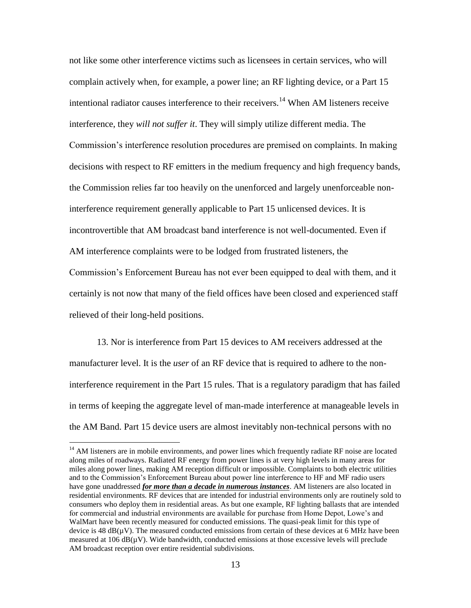not like some other interference victims such as licensees in certain services, who will complain actively when, for example, a power line; an RF lighting device, or a Part 15 intentional radiator causes interference to their receivers.<sup>14</sup> When AM listeners receive interference, they *will not suffer it*. They will simply utilize different media. The Commission's interference resolution procedures are premised on complaints. In making decisions with respect to RF emitters in the medium frequency and high frequency bands, the Commission relies far too heavily on the unenforced and largely unenforceable noninterference requirement generally applicable to Part 15 unlicensed devices. It is incontrovertible that AM broadcast band interference is not well-documented. Even if AM interference complaints were to be lodged from frustrated listeners, the Commission's Enforcement Bureau has not ever been equipped to deal with them, and it certainly is not now that many of the field offices have been closed and experienced staff relieved of their long-held positions.

13. Nor is interference from Part 15 devices to AM receivers addressed at the manufacturer level. It is the *user* of an RF device that is required to adhere to the noninterference requirement in the Part 15 rules. That is a regulatory paradigm that has failed in terms of keeping the aggregate level of man-made interference at manageable levels in the AM Band. Part 15 device users are almost inevitably non-technical persons with no

<sup>&</sup>lt;sup>14</sup> AM listeners are in mobile environments, and power lines which frequently radiate RF noise are located along miles of roadways. Radiated RF energy from power lines is at very high levels in many areas for miles along power lines, making AM reception difficult or impossible. Complaints to both electric utilities and to the Commission's Enforcement Bureau about power line interference to HF and MF radio users have gone unaddressed *for more than a decade in numerous instances*. AM listeners are also located in residential environments. RF devices that are intended for industrial environments only are routinely sold to consumers who deploy them in residential areas. As but one example, RF lighting ballasts that are intended for commercial and industrial environments are available for purchase from Home Depot, Lowe's and WalMart have been recently measured for conducted emissions. The quasi-peak limit for this type of device is  $48 \text{ dB}(\mu\text{V})$ . The measured conducted emissions from certain of these devices at 6 MHz have been measured at 106  $dB(\mu V)$ . Wide bandwidth, conducted emissions at those excessive levels will preclude AM broadcast reception over entire residential subdivisions.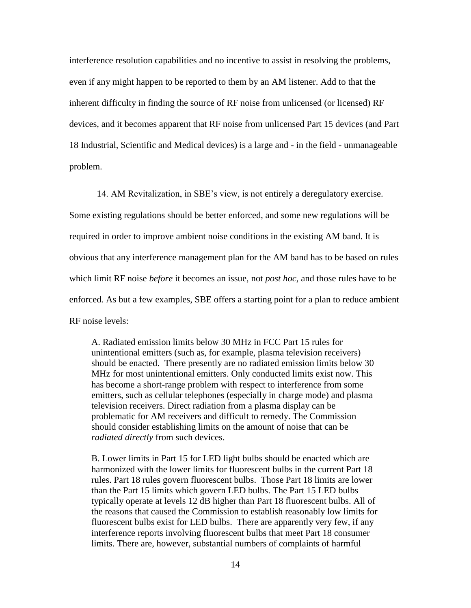interference resolution capabilities and no incentive to assist in resolving the problems, even if any might happen to be reported to them by an AM listener. Add to that the inherent difficulty in finding the source of RF noise from unlicensed (or licensed) RF devices, and it becomes apparent that RF noise from unlicensed Part 15 devices (and Part 18 Industrial, Scientific and Medical devices) is a large and - in the field - unmanageable problem.

14. AM Revitalization, in SBE's view, is not entirely a deregulatory exercise.

Some existing regulations should be better enforced, and some new regulations will be required in order to improve ambient noise conditions in the existing AM band. It is obvious that any interference management plan for the AM band has to be based on rules which limit RF noise *before* it becomes an issue, not *post hoc*, and those rules have to be enforced*.* As but a few examples, SBE offers a starting point for a plan to reduce ambient RF noise levels:

A. Radiated emission limits below 30 MHz in FCC Part 15 rules for unintentional emitters (such as, for example, plasma television receivers) should be enacted. There presently are no radiated emission limits below 30 MHz for most unintentional emitters. Only conducted limits exist now. This has become a short-range problem with respect to interference from some emitters, such as cellular telephones (especially in charge mode) and plasma television receivers. Direct radiation from a plasma display can be problematic for AM receivers and difficult to remedy. The Commission should consider establishing limits on the amount of noise that can be *radiated directly* from such devices.

B. Lower limits in Part 15 for LED light bulbs should be enacted which are harmonized with the lower limits for fluorescent bulbs in the current Part 18 rules. Part 18 rules govern fluorescent bulbs. Those Part 18 limits are lower than the Part 15 limits which govern LED bulbs. The Part 15 LED bulbs typically operate at levels 12 dB higher than Part 18 fluorescent bulbs. All of the reasons that caused the Commission to establish reasonably low limits for fluorescent bulbs exist for LED bulbs. There are apparently very few, if any interference reports involving fluorescent bulbs that meet Part 18 consumer limits. There are, however, substantial numbers of complaints of harmful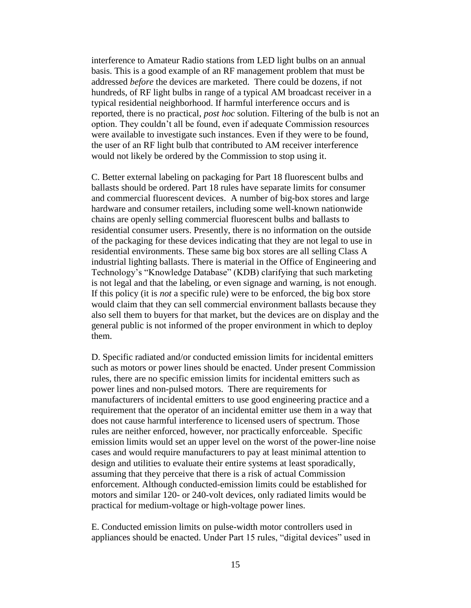interference to Amateur Radio stations from LED light bulbs on an annual basis. This is a good example of an RF management problem that must be addressed *before* the devices are marketed. There could be dozens, if not hundreds, of RF light bulbs in range of a typical AM broadcast receiver in a typical residential neighborhood. If harmful interference occurs and is reported, there is no practical, *post hoc* solution. Filtering of the bulb is not an option. They couldn't all be found, even if adequate Commission resources were available to investigate such instances. Even if they were to be found, the user of an RF light bulb that contributed to AM receiver interference would not likely be ordered by the Commission to stop using it.

C. Better external labeling on packaging for Part 18 fluorescent bulbs and ballasts should be ordered. Part 18 rules have separate limits for consumer and commercial fluorescent devices. A number of big-box stores and large hardware and consumer retailers, including some well-known nationwide chains are openly selling commercial fluorescent bulbs and ballasts to residential consumer users. Presently, there is no information on the outside of the packaging for these devices indicating that they are not legal to use in residential environments. These same big box stores are all selling Class A industrial lighting ballasts. There is material in the Office of Engineering and Technology's "Knowledge Database" (KDB) clarifying that such marketing is not legal and that the labeling, or even signage and warning, is not enough. If this policy (it is *not* a specific rule) were to be enforced, the big box store would claim that they can sell commercial environment ballasts because they also sell them to buyers for that market, but the devices are on display and the general public is not informed of the proper environment in which to deploy them.

D. Specific radiated and/or conducted emission limits for incidental emitters such as motors or power lines should be enacted. Under present Commission rules, there are no specific emission limits for incidental emitters such as power lines and non-pulsed motors. There are requirements for manufacturers of incidental emitters to use good engineering practice and a requirement that the operator of an incidental emitter use them in a way that does not cause harmful interference to licensed users of spectrum. Those rules are neither enforced, however, nor practically enforceable. Specific emission limits would set an upper level on the worst of the power-line noise cases and would require manufacturers to pay at least minimal attention to design and utilities to evaluate their entire systems at least sporadically, assuming that they perceive that there is a risk of actual Commission enforcement. Although conducted-emission limits could be established for motors and similar 120- or 240-volt devices, only radiated limits would be practical for medium-voltage or high-voltage power lines.

E. Conducted emission limits on pulse-width motor controllers used in appliances should be enacted. Under Part 15 rules, "digital devices" used in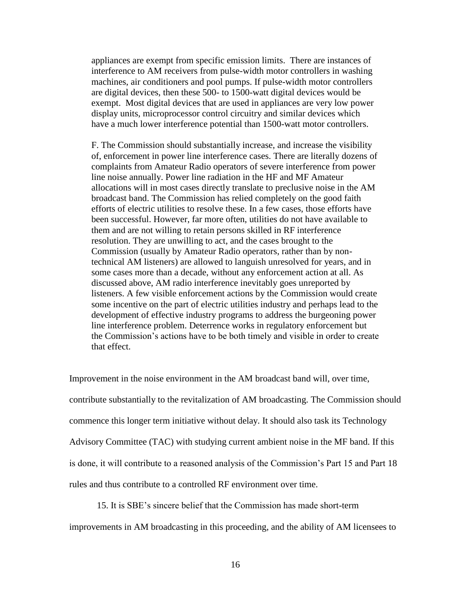appliances are exempt from specific emission limits. There are instances of interference to AM receivers from pulse-width motor controllers in washing machines, air conditioners and pool pumps. If pulse-width motor controllers are digital devices, then these 500- to 1500-watt digital devices would be exempt. Most digital devices that are used in appliances are very low power display units, microprocessor control circuitry and similar devices which have a much lower interference potential than 1500-watt motor controllers.

F. The Commission should substantially increase, and increase the visibility of, enforcement in power line interference cases. There are literally dozens of complaints from Amateur Radio operators of severe interference from power line noise annually. Power line radiation in the HF and MF Amateur allocations will in most cases directly translate to preclusive noise in the AM broadcast band. The Commission has relied completely on the good faith efforts of electric utilities to resolve these. In a few cases, those efforts have been successful. However, far more often, utilities do not have available to them and are not willing to retain persons skilled in RF interference resolution. They are unwilling to act, and the cases brought to the Commission (usually by Amateur Radio operators, rather than by nontechnical AM listeners) are allowed to languish unresolved for years, and in some cases more than a decade, without any enforcement action at all. As discussed above, AM radio interference inevitably goes unreported by listeners. A few visible enforcement actions by the Commission would create some incentive on the part of electric utilities industry and perhaps lead to the development of effective industry programs to address the burgeoning power line interference problem. Deterrence works in regulatory enforcement but the Commission's actions have to be both timely and visible in order to create that effect.

Improvement in the noise environment in the AM broadcast band will, over time, contribute substantially to the revitalization of AM broadcasting. The Commission should commence this longer term initiative without delay. It should also task its Technology Advisory Committee (TAC) with studying current ambient noise in the MF band. If this is done, it will contribute to a reasoned analysis of the Commission's Part 15 and Part 18 rules and thus contribute to a controlled RF environment over time.

15. It is SBE's sincere belief that the Commission has made short-term improvements in AM broadcasting in this proceeding, and the ability of AM licensees to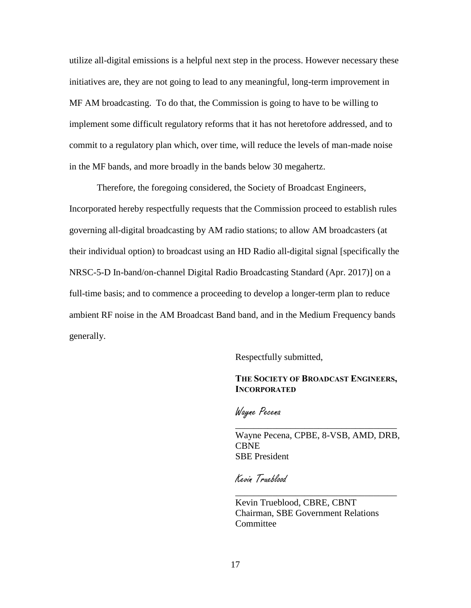utilize all-digital emissions is a helpful next step in the process. However necessary these initiatives are, they are not going to lead to any meaningful, long-term improvement in MF AM broadcasting. To do that, the Commission is going to have to be willing to implement some difficult regulatory reforms that it has not heretofore addressed, and to commit to a regulatory plan which, over time, will reduce the levels of man-made noise in the MF bands, and more broadly in the bands below 30 megahertz.

Therefore, the foregoing considered, the Society of Broadcast Engineers, Incorporated hereby respectfully requests that the Commission proceed to establish rules governing all-digital broadcasting by AM radio stations; to allow AM broadcasters (at their individual option) to broadcast using an HD Radio all-digital signal [specifically the NRSC-5-D In-band/on-channel Digital Radio Broadcasting Standard (Apr. 2017)] on a full-time basis; and to commence a proceeding to develop a longer-term plan to reduce ambient RF noise in the AM Broadcast Band band, and in the Medium Frequency bands generally.

Respectfully submitted,

## **THE SOCIETY OF BROADCAST ENGINEERS, INCORPORATED**

Wayne Pecena

Wayne Pecena, CPBE, 8-VSB, AMD, DRB, **CBNE** SBE President

\_\_\_\_\_\_\_\_\_\_\_\_\_\_\_\_\_\_\_\_\_\_\_\_\_\_\_\_\_\_\_\_\_\_\_

\_\_\_\_\_\_\_\_\_\_\_\_\_\_\_\_\_\_\_\_\_\_\_\_\_\_\_\_\_\_\_\_\_\_\_

Kevin Trueblood

Kevin Trueblood, CBRE, CBNT Chairman, SBE Government Relations **Committee**